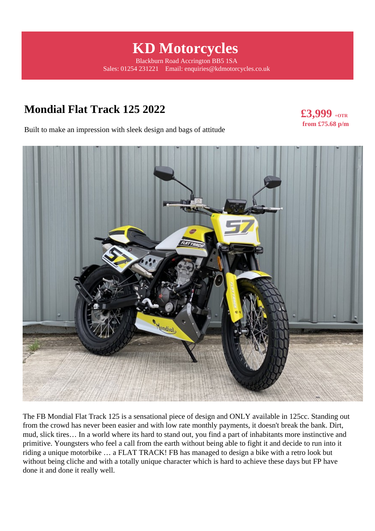# **KD Motorcycles**

Blackburn Road Accrington BB5 1SA Sales: 01254 231221 Email: enquiries@kdmotorcycles.co.uk

# **Mondial Flat Track 125 2022**

**£3,999 +OTR from £75.68 p/m** 

Built to make an impression with sleek design and bags of attitude



The FB Mondial Flat Track 125 is a sensational piece of design and ONLY available in 125cc. Standing out from the crowd has never been easier and with low rate monthly payments, it doesn't break the bank. Dirt, mud, slick tires… In a world where its hard to stand out, you find a part of inhabitants more instinctive and primitive. Youngsters who feel a call from the earth without being able to fight it and decide to run into it riding a unique motorbike … a FLAT TRACK! FB has managed to design a bike with a retro look but without being cliche and with a totally unique character which is hard to achieve these days but FP have done it and done it really well.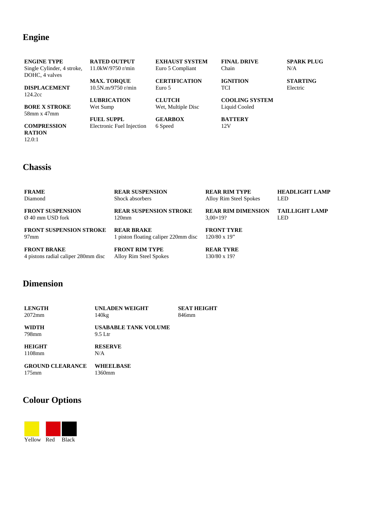#### **Engine**

**ENGINE TYPE** Single Cylinder, 4 stroke, DOHC, 4 valves

**DISPLACEMENT** 124.2cc

**BORE X STROKE** 58mm x 47mm

**COMPRESSION RATION** 12.0:1

**RATED OUTPUT** 11.0kW/9750 r/min

**MAX. TORQUE** 10.5N.m/9750 r/min

**LUBRICATION** Wet Sump

**FUEL SUPPL** Electronic Fuel Injection

**EXHAUST SYSTEM** Euro 5 Compliant

**CERTIFICATION** Euro 5

**CLUTCH** Wet, Multiple Disc

**GEARBOX** 6 Speed

**FINAL DRIVE** Chain

**IGNITION TCI** 

**COOLING SYSTEM** Liquid Cooled

**BATTERY** 12V

**SPARK PLUG** N/A

**STARTING**

Electric

## **Chassis**

| <b>FRAME</b>                        | <b>REAR SUSPENSION</b>               | <b>REAR RIM TYPE</b>      | <b>HEADLIGHT LAMP</b> |
|-------------------------------------|--------------------------------------|---------------------------|-----------------------|
| Diamond                             | Shock absorbers                      | Alloy Rim Steel Spokes    | LED.                  |
| <b>FRONT SUSPENSION</b>             | <b>REAR SUSPENSION STROKE</b>        | <b>REAR RIM DIMENSION</b> | <b>TAILLIGHT LAMP</b> |
| Ø 40 mm USD fork                    | 120 <sub>mm</sub>                    | $3,00\times19?$           | LED.                  |
| <b>FRONT SUSPENSION STROKE</b>      | <b>REAR BRAKE</b>                    | <b>FRONT TYRE</b>         |                       |
| $97$ mm                             | 1 piston floating caliper 220mm disc | $120/80 \times 19$ "      |                       |
| <b>FRONT BRAKE</b>                  | <b>FRONT RIM TYPE</b>                | <b>REAR TYRE</b>          |                       |
| 4 pistons radial caliper 280mm disc | Alloy Rim Steel Spokes               | 130/80 x 19?              |                       |

#### **Dimension**

**LENGTH** 2072mm **UNLADEN WEIGHT** 140kg **SEAT HEIGHT** 846mm

**WIDTH** 798mm

**USABABLE TANK VOLUME** 9.5 Ltr

**HEIGHT** 1108mm

**RESERVE** N/A

**GROUND CLEARANCE** 175mm

**WHEELBASE** 1360mm

### **Colour Options**